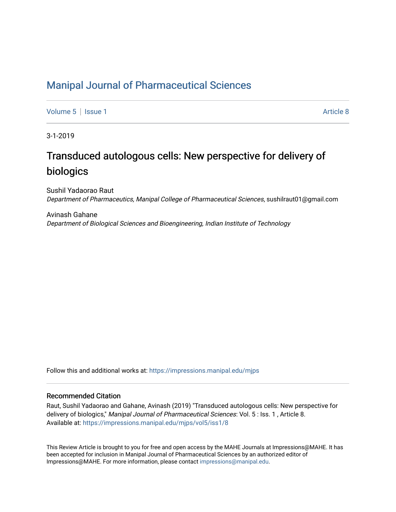## [Manipal Journal of Pharmaceutical Sciences](https://impressions.manipal.edu/mjps)

[Volume 5](https://impressions.manipal.edu/mjps/vol5) | [Issue 1](https://impressions.manipal.edu/mjps/vol5/iss1) Article 8

3-1-2019

# Transduced autologous cells: New perspective for delivery of biologics

Sushil Yadaorao Raut Department of Pharmaceutics, Manipal College of Pharmaceutical Sciences, sushilraut01@gmail.com

Avinash Gahane Department of Biological Sciences and Bioengineering, Indian Institute of Technology

Follow this and additional works at: [https://impressions.manipal.edu/mjps](https://impressions.manipal.edu/mjps?utm_source=impressions.manipal.edu%2Fmjps%2Fvol5%2Fiss1%2F8&utm_medium=PDF&utm_campaign=PDFCoverPages)

#### Recommended Citation

Raut, Sushil Yadaorao and Gahane, Avinash (2019) "Transduced autologous cells: New perspective for delivery of biologics," Manipal Journal of Pharmaceutical Sciences: Vol. 5 : Iss. 1 , Article 8. Available at: [https://impressions.manipal.edu/mjps/vol5/iss1/8](https://impressions.manipal.edu/mjps/vol5/iss1/8?utm_source=impressions.manipal.edu%2Fmjps%2Fvol5%2Fiss1%2F8&utm_medium=PDF&utm_campaign=PDFCoverPages)

This Review Article is brought to you for free and open access by the MAHE Journals at Impressions@MAHE. It has been accepted for inclusion in Manipal Journal of Pharmaceutical Sciences by an authorized editor of Impressions@MAHE. For more information, please contact [impressions@manipal.edu](mailto:impressions@manipal.edu).